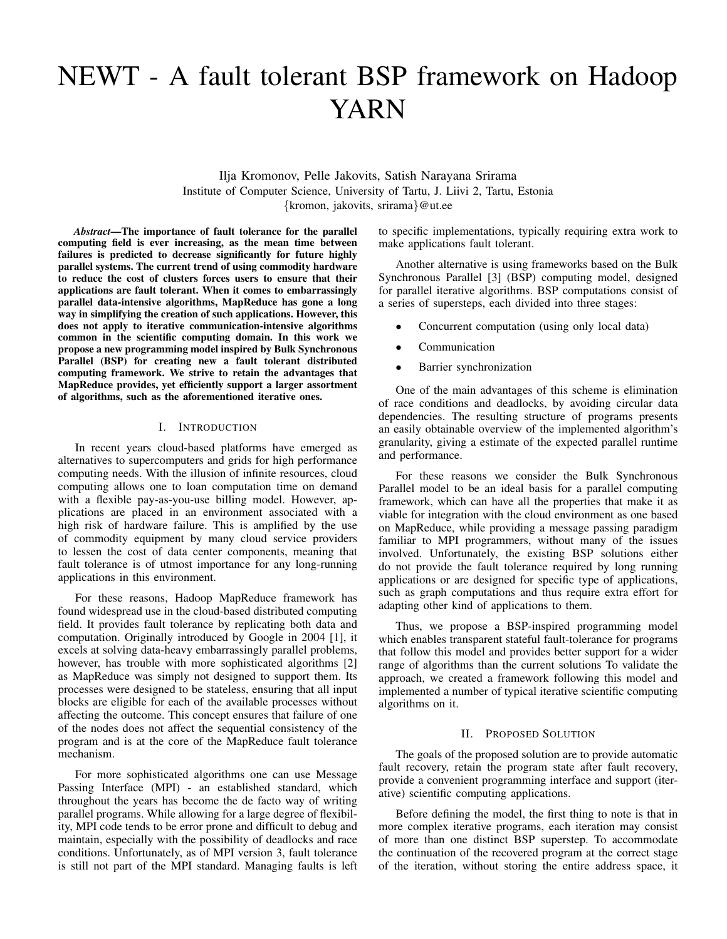# NEWT - A fault tolerant BSP framework on Hadoop YARN

Ilja Kromonov, Pelle Jakovits, Satish Narayana Srirama Institute of Computer Science, University of Tartu, J. Liivi 2, Tartu, Estonia *{*kromon, jakovits, srirama*}*@ut.ee

*Abstract*—The importance of fault tolerance for the parallel computing field is ever increasing, as the mean time between failures is predicted to decrease significantly for future highly parallel systems. The current trend of using commodity hardware to reduce the cost of clusters forces users to ensure that their applications are fault tolerant. When it comes to embarrassingly parallel data-intensive algorithms, MapReduce has gone a long way in simplifying the creation of such applications. However, this does not apply to iterative communication-intensive algorithms common in the scientific computing domain. In this work we propose a new programming model inspired by Bulk Synchronous Parallel (BSP) for creating new a fault tolerant distributed computing framework. We strive to retain the advantages that MapReduce provides, yet efficiently support a larger assortment of algorithms, such as the aforementioned iterative ones.

## I. INTRODUCTION

In recent years cloud-based platforms have emerged as alternatives to supercomputers and grids for high performance computing needs. With the illusion of infinite resources, cloud computing allows one to loan computation time on demand with a flexible pay-as-you-use billing model. However, applications are placed in an environment associated with a high risk of hardware failure. This is amplified by the use of commodity equipment by many cloud service providers to lessen the cost of data center components, meaning that fault tolerance is of utmost importance for any long-running applications in this environment.

For these reasons, Hadoop MapReduce framework has found widespread use in the cloud-based distributed computing field. It provides fault tolerance by replicating both data and computation. Originally introduced by Google in 2004 [1], it excels at solving data-heavy embarrassingly parallel problems, however, has trouble with more sophisticated algorithms [2] as MapReduce was simply not designed to support them. Its processes were designed to be stateless, ensuring that all input blocks are eligible for each of the available processes without affecting the outcome. This concept ensures that failure of one of the nodes does not affect the sequential consistency of the program and is at the core of the MapReduce fault tolerance mechanism.

For more sophisticated algorithms one can use Message Passing Interface (MPI) - an established standard, which throughout the years has become the de facto way of writing parallel programs. While allowing for a large degree of flexibility, MPI code tends to be error prone and difficult to debug and maintain, especially with the possibility of deadlocks and race conditions. Unfortunately, as of MPI version 3, fault tolerance is still not part of the MPI standard. Managing faults is left to specific implementations, typically requiring extra work to make applications fault tolerant.

Another alternative is using frameworks based on the Bulk Synchronous Parallel [3] (BSP) computing model, designed for parallel iterative algorithms. BSP computations consist of a series of supersteps, each divided into three stages:

- Concurrent computation (using only local data)
- *•* Communication
- *•* Barrier synchronization

One of the main advantages of this scheme is elimination of race conditions and deadlocks, by avoiding circular data dependencies. The resulting structure of programs presents an easily obtainable overview of the implemented algorithm's granularity, giving a estimate of the expected parallel runtime and performance.

For these reasons we consider the Bulk Synchronous Parallel model to be an ideal basis for a parallel computing framework, which can have all the properties that make it as viable for integration with the cloud environment as one based on MapReduce, while providing a message passing paradigm familiar to MPI programmers, without many of the issues involved. Unfortunately, the existing BSP solutions either do not provide the fault tolerance required by long running applications or are designed for specific type of applications, such as graph computations and thus require extra effort for adapting other kind of applications to them.

Thus, we propose a BSP-inspired programming model which enables transparent stateful fault-tolerance for programs that follow this model and provides better support for a wider range of algorithms than the current solutions To validate the approach, we created a framework following this model and implemented a number of typical iterative scientific computing algorithms on it.

#### II. PROPOSED SOLUTION

The goals of the proposed solution are to provide automatic fault recovery, retain the program state after fault recovery, provide a convenient programming interface and support (iterative) scientific computing applications.

Before defining the model, the first thing to note is that in more complex iterative programs, each iteration may consist of more than one distinct BSP superstep. To accommodate the continuation of the recovered program at the correct stage of the iteration, without storing the entire address space, it